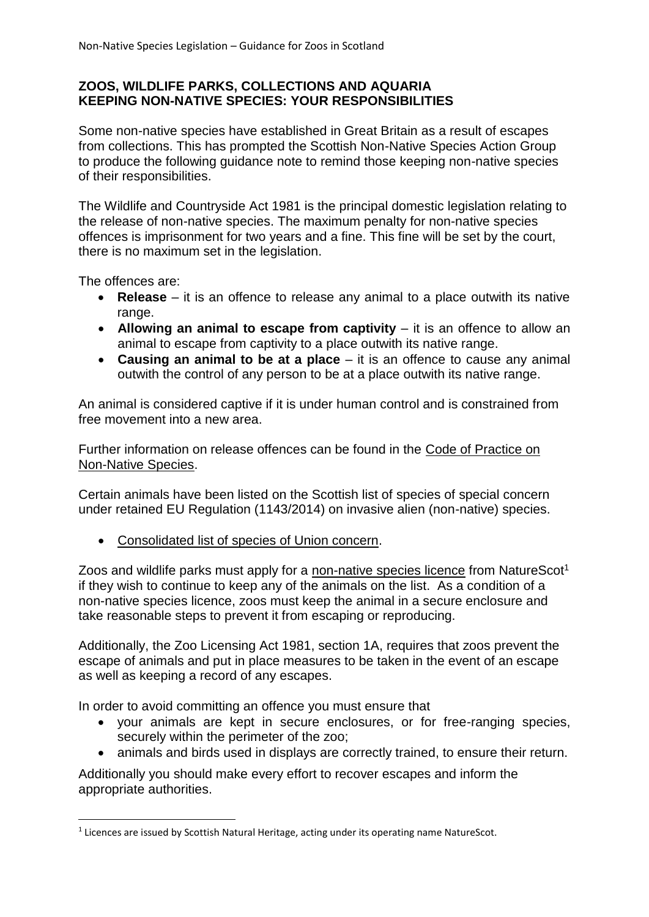### **ZOOS, WILDLIFE PARKS, COLLECTIONS AND AQUARIA KEEPING NON-NATIVE SPECIES: YOUR RESPONSIBILITIES**

Some non-native species have established in Great Britain as a result of escapes from collections. This has prompted the Scottish Non-Native Species Action Group to produce the following guidance note to remind those keeping non-native species of their responsibilities.

The Wildlife and Countryside Act 1981 is the principal domestic legislation relating to the release of non-native species. The maximum penalty for non-native species offences is imprisonment for two years and a fine. This fine will be set by the court, there is no maximum set in the legislation.

The offences are:

**.** 

- **Release** it is an offence to release any animal to a place outwith its native range.
- **Allowing an animal to escape from captivity** it is an offence to allow an animal to escape from captivity to a place outwith its native range.
- **Causing an animal to be at a place** it is an offence to cause any animal outwith the control of any person to be at a place outwith its native range.

An animal is considered captive if it is under human control and is constrained from free movement into a new area.

Further information on release offences can be found in the [Code of Practice on](http://www.scotland.gov.uk/Publications/2012/08/7367)  [Non-Native Species.](http://www.scotland.gov.uk/Publications/2012/08/7367)

Certain animals have been listed on the Scottish list of species of special concern under retained EU Regulation (1143/2014) on invasive alien (non-native) species.

[Consolidated list of species of Union concern.](https://secure.fera.defra.gov.uk/nonnativespecies/downloadDocument.cfm?id=2104)

Zoos and wildlife parks must apply for a [non-native species licence](https://www.nature.scot/professional-advice/safeguarding-protected-areas-and-species/licensing/non-native-species-licensing) from NatureScot<sup>1</sup> if they wish to continue to keep any of the animals on the list. As a condition of a non-native species licence, zoos must keep the animal in a secure enclosure and take reasonable steps to prevent it from escaping or reproducing.

Additionally, the Zoo Licensing Act 1981, section 1A, requires that zoos prevent the escape of animals and put in place measures to be taken in the event of an escape as well as keeping a record of any escapes.

In order to avoid committing an offence you must ensure that

- vour animals are kept in secure enclosures, or for free-ranging species, securely within the perimeter of the zoo;
- animals and birds used in displays are correctly trained, to ensure their return.

Additionally you should make every effort to recover escapes and inform the appropriate authorities.

 $<sup>1</sup>$  Licences are issued by Scottish Natural Heritage, acting under its operating name NatureScot.</sup>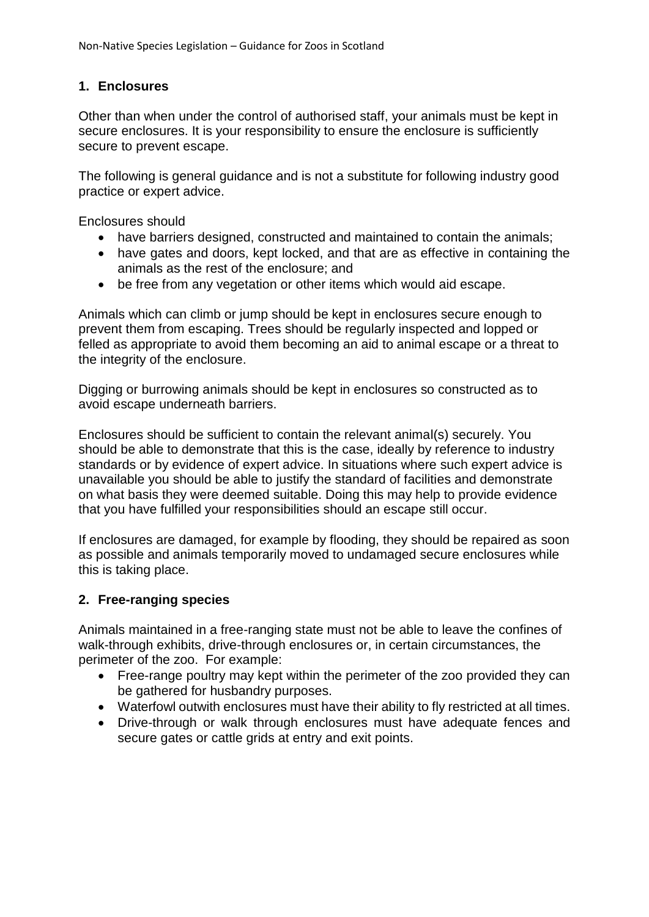## **1. Enclosures**

Other than when under the control of authorised staff, your animals must be kept in secure enclosures. It is your responsibility to ensure the enclosure is sufficiently secure to prevent escape.

The following is general guidance and is not a substitute for following industry good practice or expert advice.

Enclosures should

- have barriers designed, constructed and maintained to contain the animals;
- have gates and doors, kept locked, and that are as effective in containing the animals as the rest of the enclosure; and
- be free from any vegetation or other items which would aid escape.

Animals which can climb or jump should be kept in enclosures secure enough to prevent them from escaping. Trees should be regularly inspected and lopped or felled as appropriate to avoid them becoming an aid to animal escape or a threat to the integrity of the enclosure.

Digging or burrowing animals should be kept in enclosures so constructed as to avoid escape underneath barriers.

Enclosures should be sufficient to contain the relevant animal(s) securely. You should be able to demonstrate that this is the case, ideally by reference to industry standards or by evidence of expert advice. In situations where such expert advice is unavailable you should be able to justify the standard of facilities and demonstrate on what basis they were deemed suitable. Doing this may help to provide evidence that you have fulfilled your responsibilities should an escape still occur.

If enclosures are damaged, for example by flooding, they should be repaired as soon as possible and animals temporarily moved to undamaged secure enclosures while this is taking place.

### **2. Free-ranging species**

Animals maintained in a free-ranging state must not be able to leave the confines of walk-through exhibits, drive-through enclosures or, in certain circumstances, the perimeter of the zoo. For example:

- Free-range poultry may kept within the perimeter of the zoo provided they can be gathered for husbandry purposes.
- Waterfowl outwith enclosures must have their ability to fly restricted at all times.
- Drive-through or walk through enclosures must have adequate fences and secure gates or cattle grids at entry and exit points.